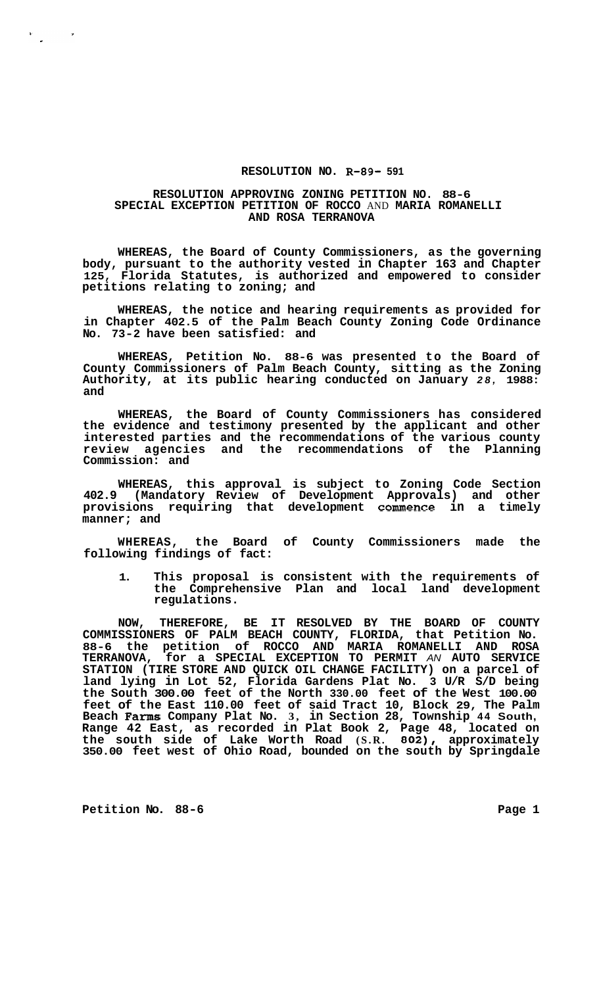## **RESOLUTION NO. R-89- 591**

## **RESOLUTION APPROVING ZONING PETITION NO. 88-6 SPECIAL EXCEPTION PETITION OF ROCCO** AND **MARIA ROMANELLI AND ROSA TERRANOVA**

**WHEREAS, the Board of County Commissioners, as the governing body, pursuant to the authority vested in Chapter 163 and Chapter 125, Florida Statutes, is authorized and empowered to consider petitions relating to zoning; and** 

**WHEREAS, the notice and hearing requirements as provided for in Chapter 402.5 of the Palm Beach County Zoning Code Ordinance No. 73-2 have been satisfied: and** 

**WHEREAS, Petition No. 88-6 was presented to the Board of County Commissioners of Palm Beach County, sitting as the Zoning Authority, at its public hearing conducted on January** *28,* **1988: and** 

**WHEREAS, the Board of County Commissioners has considered the evidence and testimony presented by the applicant and other interested parties and the recommendations of the various county review agencies and the recommendations of the Planning Commission: and** 

**WHEREAS, this approval is subject to Zoning Code Section 402.9 (Mandatory Review of Development Approvals) and other provisions requiring that development commence in a timely manner; and** 

**WHEREAS, the Board of County Commissioners made the following findings of fact:** 

**1. This proposal is consistent with the requirements of the Comprehensive Plan and local land development regulations.** 

**NOW, THEREFORE, BE IT RESOLVED BY THE BOARD OF COUNTY COMMISSIONERS OF PALM BEACH COUNTY, FLORIDA, that Petition No. 88-6 the petition of ROCCO AND MARIA ROMANELLI AND ROSA TERRANOVA, for a SPECIAL EXCEPTION TO PERMIT** *AN* **AUTO SERVICE STATION (TIRE STORE AND QUICK OIL CHANGE FACILITY) on a parcel of land lying in Lot 52, Florida Gardens Plat No. 3 U/R S/D being the South 300.00 feet of the North 330.00 feet of the West 100.00 feet of the East 110.00 feet of said Tract 10, Block 29, The Palm Beach Farms Company Plat No. 3, in Section 28, Township 44 South, Range 42 East, as recorded in Plat Book 2, Page 48, located on the south side of Lake Worth Road (S.R. 802), approximately 350.00 feet west of Ohio Road, bounded on the south by Springdale** 

Petition No. 88-6 **Page 1 Page 1** 

 $\frac{1}{2}$ 

 $\mathcal{L}_{\rm{max}}$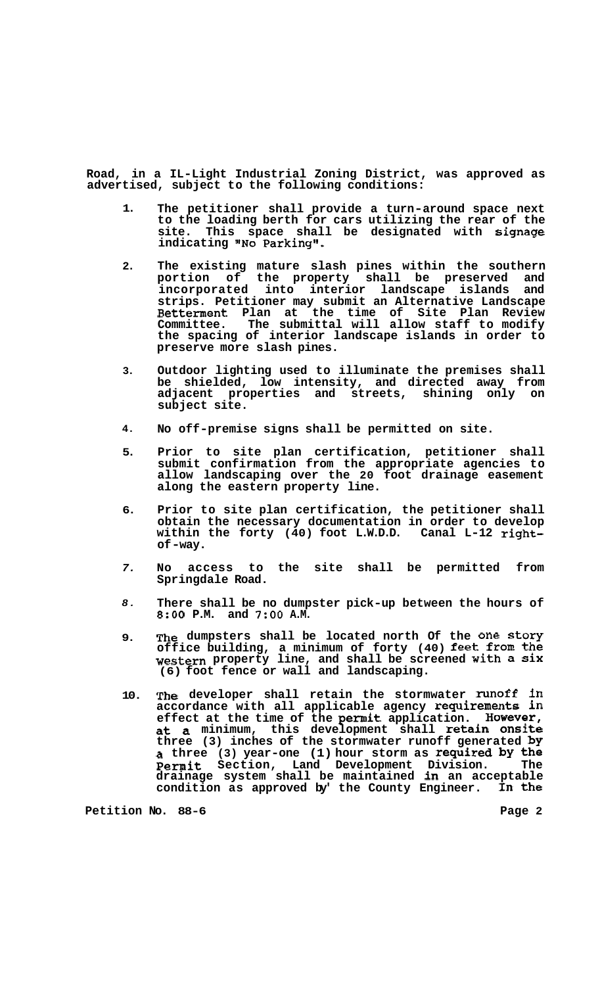**Road, in a IL-Light Industrial Zoning District, was approved as advertised, subject to the following conditions:** 

- **1. The petitioner shall provide a turn-around space next to the loading berth for cars utilizing the rear of the site. This space shall be designated with signage indicating "No Parking''.**
- **2. The existing mature slash pines within the southern portion of the property shall be preserved and incorporated into interior landscape islands and strips. Petitioner may submit an Alternative Landscape Betterment Plan at the time of Site Plan Review Committee. The submittal will allow staff to modify the spacing of interior landscape islands in order to preserve more slash pines.**
- **3. Outdoor lighting used to illuminate the premises shall be shielded, low intensity, and directed away from adjacent properties and streets, shining only on subject site.**
- **4. No off-premise signs shall be permitted on site.**
- **5. Prior to site plan certification, petitioner shall submit confirmation from the appropriate agencies to allow landscaping over the 20 foot drainage easement along the eastern property line.**
- **6. Prior to site plan certification, the petitioner shall obtain the necessary documentation in order to develop within the forty (40) foot L.W.D.D. Canal L-12 rightof -way.**
- *7.*  **No access to the site shall be permitted from Springdale Road.**
- *8.*  **There shall be no dumpster pick-up between the hours of**  *8:OO* **P.M. and 7:OO A.M.**
- **9. The dumpsters shall be located north Of the one story office building, a minimum of forty (40) feet from the western property line, and shall be screened with a Six (6) foot fence or wall and landscaping.**
- **10. The developer shall retain the stormwater runoff in accordance with all applicable agency requirements in effect at the time of the permit application. However, at a minimum, this development shall retain Onsite three (3) inches of the stormwater runoff generated by a three (3) year-one (1) hour storm as required by the permit Section, Land Development Division. The drainage system shall be maintained in an acceptable condition as approved by' the County Engineer. In the**

Petition No. 88-6 **Page 2 Page 2**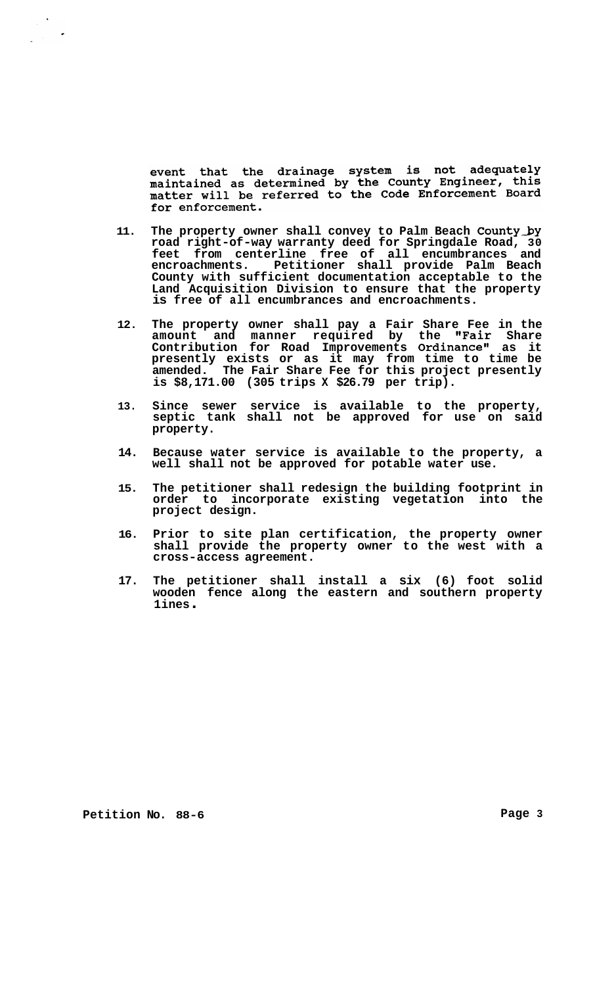event that the drainage system is not adequately maintained as determined by the County Engineer, this<br>matter will be referred to the Code Enforcement Board for enforcement.

- **11. The property owner shall convey to Palm Beach County-by road right-of-way warranty deed for Springdale Road, 30 feet from centerline free of all encumbrances and encroachments. Petitioner shall provide Palm Beach County with sufficient documentation acceptable to the Land Acquisition Division to ensure that the property is free of all encumbrances and encroachments.**
- **12. The property owner shall pay a Fair Share Fee in the**  amount and manner required by the **"Fair** Share Contribution for Road Improvements Ordinance" as it **presently exists or as it may from time to time be amended. The Fair Share Fee for this project presently is \$8,171.00 (305 trips X \$26.79 per trip).**
- **13. Since sewer service is available to the property, septic tank shall not be approved for use on said property.**
- **14. Because water service is available to the property, a well shall not be approved for potable water use.**
- **15. The petitioner shall redesign the building footprint in order to incorporate existing vegetation into the project design.**
- **16. Prior to site plan certification, the property owner shall provide the property owner to the west with a cross-access agreement.**
- **17. The petitioner shall install a six (6) foot solid wooden fence along the eastern and southern property 1 ines** .

Petition No. 88-6 **Page 3 Page 3**